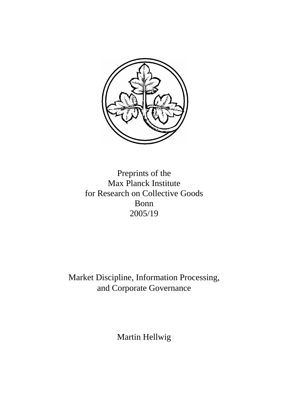

Preprints of the Max Planck Institute for Research on Collective Goods Bonn 2005/19

Market Discipline, Information Processing, and Corporate Governance

Martin Hellwig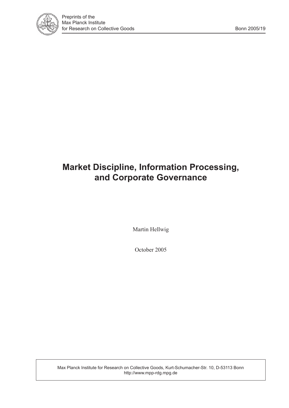

# **Market Discipline, Information Processing, and Corporate Governance**

Martin Hellwig

October 2005

Max Planck Institute for Research on Collective Goods, Kurt-Schumacher-Str. 10, D-53113 Bonn http://www.mpp-rdg.mpg.de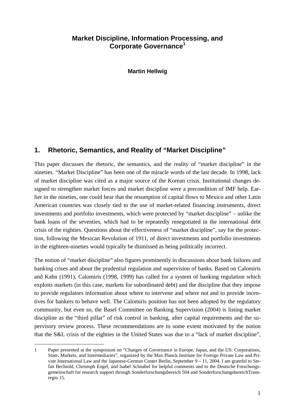#### **Market Discipline, Information Processing, and Corporate Governance<sup>1</sup>**

**Martin Hellwig** 

### **1. Rhetoric, Semantics, and Reality of "Market Discipline"**

This paper discusses the rhetoric, the semantics, and the reality of "market discipline" in the nineties. "Market Discipline" has been one of the miracle words of the last decade. In 1998, lack of market discipline was cited as a major source of the Korean crisis. Institutional changes designed to strengthen market forces and market discipline were a precondition of IMF help. Earlier in the nineties, one could hear that the resumption of capital flows to Mexico and other Latin American countries was closely tied to the use of market-related financing instruments, direct investments and portfolio investments, which were protected by "market discipline" – unlike the bank loans of the seventies, which had to be repeatedly renegotiated in the international debt crisis of the eighties. Questions about the effectiveness of "market discipline", say for the protection, following the Mexican Revolution of 1911, of direct investments and portfolio investments in the eighteen-nineties would typically be dismissed as being politically incorrect.

The notion of "market discipline" also figures prominently in discussions about bank failures and banking crises and about the prudential regulation and supervision of banks. Based on Calomiris and Kahn (1991), Calomiris (1998, 1999) has called for a system of banking regulation which exploits markets (in this case, markets for subordinated debt) and the discipline that they impose to provide regulators information about where to intervene and where not and to provide incentives for bankers to behave well. The Calomiris position has not been adopted by the regulatory community, but even so, the Basel Committee on Banking Supervision (2004) is listing market discipline as the "third pillar" of risk control in banking, after capital requirements and the supervisory review process. These recommendations are to some extent motivated by the notion that the S&L crisis of the eighties in the United States was due to a "lack of market discipline",

 $\overline{a}$ 

<sup>1</sup> Paper presented at the symposium on "Changes of Governance in Europe, Japan, and the US: Corporations, State, Markets, and Intermediaries", organized by the Max Planck Institute for Foreign Private Law and Private International Law and the Japanese-German Center Berlin, September 9 – 11, 2004. I am grateful to Stefan Bechtold, Christoph Engel, and Isabel Schnabel for helpful comments and to the Deutsche Forschungsgemeinschaft for research support through Sonderforschungsbereich 504 and SonderforschungsbereichTransregio 15.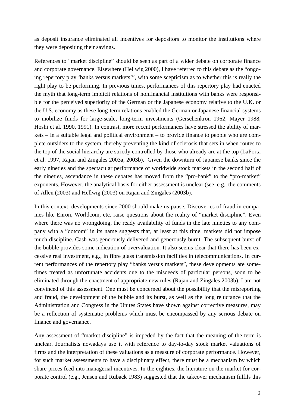as deposit insurance eliminated all incentives for depositors to monitor the institutions where they were depositing their savings.

References to "market discipline" should be seen as part of a wider debate on corporate finance and corporate governance. Elsewhere (Hellwig 2000), I have referred to this debate as the "ongoing repertory play 'banks versus markets'", with some scepticism as to whether this is really the right play to be performing. In previous times, performances of this repertory play had enacted the myth that long-term implicit relations of nonfinancial institutions with banks were responsible for the perceived superiority of the German or the Japanese economy relative to the U.K. or the U.S. economy as these long-term relations enabled the German or Japanese financial systems to mobilize funds for large-scale, long-term investments (Gerschenkron 1962, Mayer 1988, Hoshi et al. 1990, 1991). In contrast, more recent performances have stressed the ability of markets – in a suitable legal and political environment – to provide finance to people who are complete outsiders to the system, thereby preventing the kind of sclerosis that sets in when routes to the top of the social hierarchy are strictly controlled by those who already are at the top (LaPorta et al. 1997, Rajan and Zingales 2003a, 2003b). Given the downturn of Japanese banks since the early nineties and the spectacular performance of worldwide stock markets in the second half of the nineties, ascendance in these debates has moved from the "pro-bank" to the "pro-market" exponents. However, the analytical basis for either assessment is unclear (see, e.g., the comments of Allen (2003) and Hellwig (2003) on Rajan and Zingales (2003b).

In this context, developments since 2000 should make us pause. Discoveries of fraud in companies like Enron, Worldcom, etc. raise questions about the reality of "market discipline". Even where there was no wrongdoing, the ready availability of funds in the late nineties to any company with a "dotcom" in its name suggests that, at least at this time, markets did not impose much discipline. Cash was generously delivered and generously burnt. The subsequent burst of the bubble provides some indication of overvaluation. It also seems clear that there has been excessive real investment, e.g., in fibre glass transmission facilities in telecommunications. In current performances of the repertory play "banks versus markets", these developments are sometimes treated as unfortunate accidents due to the misdeeds of particular persons, soon to be eliminated through the enactment of appropriate new rules (Rajan and Zingales 2003b). I am not convinced of this assessment. One must be concerned about the possibility that the misreporting and fraud, the development of the bubble and its burst, as well as the long reluctance that the Administration and Congress in the Unites States have shown against corrective measures, may be a reflection of systematic problems which must be encompassed by any serious debate on finance and governance.

Any assessment of "market discipline" is impeded by the fact that the meaning of the term is unclear. Journalists nowadays use it with reference to day-to-day stock market valuations of firms and the interpretation of these valuations as a measure of corporate performance. However, for such market assessments to have a disciplinary effect, there must be a mechanism by which share prices feed into managerial incentives. In the eighties, the literature on the market for corporate control (e.g., Jensen and Ruback 1983) suggested that the takeover mechanism fulfils this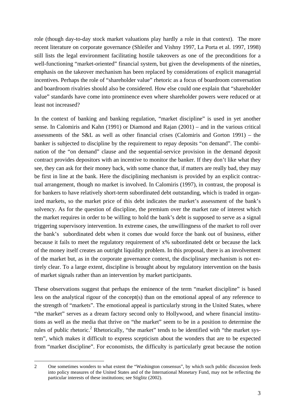role (though day-to-day stock market valuations play hardly a role in that context). The more recent literature on corporate governance (Shleifer and Vishny 1997, La Porta et al. 1997, 1998) still lists the legal environment facilitating hostile takeovers as one of the preconditions for a well-functioning "market-oriented" financial system, but given the developments of the nineties, emphasis on the takeover mechanism has been replaced by considerations of explicit managerial incentives. Perhaps the role of "shareholder value" rhetoric as a focus of boardroom conversation and boardroom rivalries should also be considered. How else could one explain that "shareholder value" standards have come into prominence even where shareholder powers were reduced or at least not increased?

In the context of banking and banking regulation, "market discipline" is used in yet another sense. In Calomiris and Kahn (1991) or Diamond and Rajan (2001) – and in the various critical assessments of the S&L as well as other financial crises (Calomiris and Gorton 1991) – the banker is subjected to discipline by the requirement to repay deposits "on demand". The combination of the "on demand" clause and the sequential-service provision in the demand deposit contract provides depositors with an incentive to monitor the banker. If they don't like what they see, they can ask for their money back, with some chance that, if matters are really bad, they may be first in line at the bank. Here the disciplining mechanism is provided by an explicit contractual arrangement, though no market is involved. In Calomiris (1997), in contrast, the proposal is for bankers to have relatively short-term subordinated debt outstanding, which is traded in organized markets, so the market price of this debt indicates the market's assessment of the bank's solvency. As for the question of discipline, the premium over the market rate of interest which the market requires in order to be willing to hold the bank's debt is supposed to serve as a signal triggering supervisory intervention. In extreme cases, the unwillingness of the market to roll over the bank's subordinated debt when it comes due would force the bank out of business, either because it fails to meet the regulatory requirement of x% subordinated debt or because the lack of the money itself creates an outright liquidity problem. In this proposal, there is an involvement of the market but, as in the corporate governance context, the disciplinary mechanism is not entirely clear. To a large extent, discipline is brought about by regulatory intervention on the basis of market signals rather than an intervention by market participants.

These observations suggest that perhaps the eminence of the term "market discipline" is based less on the analytical rigour of the concept(s) than on the emotional appeal of any reference to the strength of "markets". The emotional appeal is particularly strong in the United States, where "the market" serves as a dream factory second only to Hollywood, and where financial institutions as well as the media that thrive on "the market" seem to be in a position to determine the rules of public rhetoric.<sup>2</sup> Rhetorically, "the market" tends to be identified with "the market system", which makes it difficult to express scepticism about the wonders that are to be expected from "market discipline". For economists, the difficulty is particularly great because the notion

<sup>-</sup>2 One sometimes wonders to what extent the "Washington consensus", by which such public discussion feeds into policy measures of the United States and of the International Monetary Fund, may not be reflecting the particular interests of these institutions; see Stiglitz (2002).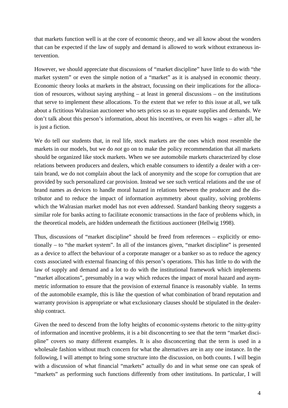that markets function well is at the core of economic theory, and we all know about the wonders that can be expected if the law of supply and demand is allowed to work without extraneous intervention.

However, we should appreciate that discussions of "market discipline" have little to do with "the market system" or even the simple notion of a "market" as it is analysed in economic theory. Economic theory looks at markets in the abstract, focussing on their implications for the allocation of resources, without saying anything – at least in general discussions – on the institutions that serve to implement these allocations. To the extent that we refer to this issue at all, we talk about a fictitious Walrasian auctioneer who sets prices so as to equate supplies and demands. We don't talk about this person's information, about his incentives, or even his wages – after all, he is just a fiction.

We do tell our students that, in real life, stock markets are the ones which most resemble the markets in our models, but we do *not* go on to make the policy recommendation that all markets should be organized like stock markets. When we see automobile markets characterized by close relations between producers and dealers, which enable consumers to identify a dealer with a certain brand, we do not complain about the lack of anonymity and the scope for corruption that are provided by such personalized car provision. Instead we see such vertical relations and the use of brand names as devices to handle moral hazard in relations between the producer and the distributor and to reduce the impact of information asymmetry about quality, solving problems which the Walrasian market model has not even addressed. Standard banking theory suggests a similar role for banks acting to facilitate economic transactions in the face of problems which, in the theoretical models, are hidden underneath the fictitious auctioneer (Hellwig 1998).

Thus, discussions of "market discipline" should be freed from references – explicitly or emotionally – to "the market system". In all of the instances given, "market discipline" is presented as a device to affect the behaviour of a corporate manager or a banker so as to reduce the agency costs associated with external financing of this person's operations. This has little to do with the law of supply and demand and a lot to do with the institutional framework which implements "market allocations", presumably in a way which reduces the impact of moral hazard and asymmetric information to ensure that the provision of external finance is reasonably viable. In terms of the automobile example, this is like the question of what combination of brand reputation and warranty provision is appropriate or what exclusionary clauses should be stipulated in the dealership contract.

Given the need to descend from the lofty heights of economic-systems rhetoric to the nitty-gritty of information and incentive problems, it is a bit disconcerting to see that the term "market discipline" covers so many different examples. It is also disconcerting that the term is used in a wholesale fashion without much concern for what the alternatives are in any one instance. In the following, I will attempt to bring some structure into the discussion, on both counts. I will begin with a discussion of what financial "markets" actually do and in what sense one can speak of "markets" as performing such functions differently from other institutions. In particular, I will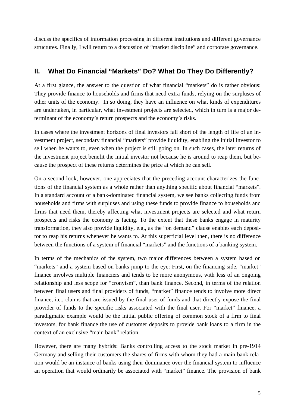discuss the specifics of information processing in different institutions and different governance structures. Finally, I will return to a discussion of "market discipline" and corporate governance.

## **II. What Do Financial "Markets" Do? What Do They Do Differently?**

At a first glance, the answer to the question of what financial "markets" do is rather obvious: They provide finance to households and firms that need extra funds, relying on the surpluses of other units of the economy. In so doing, they have an influence on what kinds of expenditures are undertaken, in particular, what investment projects are selected, which in turn is a major determinant of the economy's return prospects and the economy's risks.

In cases where the investment horizons of final investors fall short of the length of life of an investment project, secondary financial "markets" provide liquidity, enabling the initial investor to sell when he wants to, even when the project is still going on. In such cases, the later returns of the investment project benefit the initial investor not because he is around to reap them, but because the prospect of these returns determines the price at which he can sell.

On a second look, however, one appreciates that the preceding account characterizes the functions of the financial system as a whole rather than anything specific about financial "markets". In a standard account of a bank-dominated financial system, we see banks collecting funds from households and firms with surpluses and using these funds to provide finance to households and firms that need them, thereby affecting what investment projects are selected and what return prospects and risks the economy is facing. To the extent that these banks engage in maturity transformation, they also provide liquidity, e.g., as the "on demand" clause enables each depositor to reap his returns whenever he wants to. At this superficial level then, there is no difference between the functions of a system of financial "markets" and the functions of a banking system.

In terms of the mechanics of the system, two major differences between a system based on "markets" and a system based on banks jump to the eye: First, on the financing side, "market" finance involves multiple financiers and tends to be more anonymous, with less of an ongoing relationship and less scope for "cronyism", than bank finance. Second, in terms of the relation between final users and final providers of funds, "market" finance tends to involve more direct finance, i.e., claims that are issued by the final user of funds and that directly expose the final provider of funds to the specific risks associated with the final user. For "market" finance, a paradigmatic example would be the initial public offering of common stock of a firm to final investors, for bank finance the use of customer deposits to provide bank loans to a firm in the context of an exclusive "main bank" relation.

However, there are many hybrids: Banks controlling access to the stock market in pre-1914 Germany and selling their customers the shares of firms with whom they had a main bank relation would be an instance of banks using their dominance over the financial system to influence an operation that would ordinarily be associated with "market" finance. The provision of bank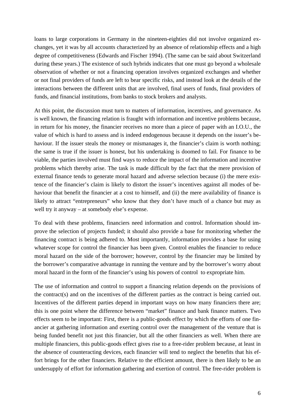loans to large corporations in Germany in the nineteen-eighties did not involve organized exchanges, yet it was by all accounts characterized by an absence of relationship effects and a high degree of competitiveness (Edwards and Fischer 1994). (The same can be said about Switzerland during these years.) The existence of such hybrids indicates that one must go beyond a wholesale observation of whether or not a financing operation involves organized exchanges and whether or not final providers of funds are left to bear specific risks, and instead look at the details of the interactions between the different units that are involved, final users of funds, final providers of funds, and financial institutions, from banks to stock brokers and analysts.

At this point, the discussion must turn to matters of information, incentives, and governance. As is well known, the financing relation is fraught with information and incentive problems because, in return for his money, the financier receives no more than a piece of paper with an I.O.U., the value of which is hard to assess and is indeed endogenous because it depends on the issuer's behaviour. If the issuer steals the money or mismanages it, the financier's claim is worth nothing; the same is true if the issuer is honest, but his undertaking is doomed to fail. For finance to be viable, the parties involved must find ways to reduce the impact of the information and incentive problems which thereby arise. The task is made difficult by the fact that the mere provision of external finance tends to generate moral hazard and adverse selection because (i) the mere existence of the financier's claim is likely to distort the issuer's incentives against all modes of behaviour that benefit the financier at a cost to himself, and (ii) the mere availability of finance is likely to attract "entrepreneurs" who know that they don't have much of a chance but may as well try it anyway – at somebody else's expense.

To deal with these problems, financiers need information and control. Information should improve the selection of projects funded; it should also provide a base for monitoring whether the financing contract is being adhered to. Most importantly, information provides a base for using whatever scope for control the financier has been given. Control enables the financier to reduce moral hazard on the side of the borrower; however, control by the financier may be limited by the borrower's comparative advantage in running the venture and by the borrower's worry about moral hazard in the form of the financier's using his powers of control to expropriate him.

The use of information and control to support a financing relation depends on the provisions of the contract(s) and on the incentives of the different parties as the contract is being carried out. Incentives of the different parties depend in important ways on how many financiers there are; this is one point where the difference between "market" finance and bank finance matters. Two effects seem to be important: First, there is a public-goods effect by which the efforts of one financier at gathering information and exerting control over the management of the venture that is being funded benefit not just this financier, but all the other financiers as well. When there are multiple financiers, this public-goods effect gives rise to a free-rider problem because, at least in the absence of counteracting devices, each financier will tend to neglect the benefits that his effort brings for the other financiers. Relative to the efficient amount, there is then likely to be an undersupply of effort for information gathering and exertion of control. The free-rider problem is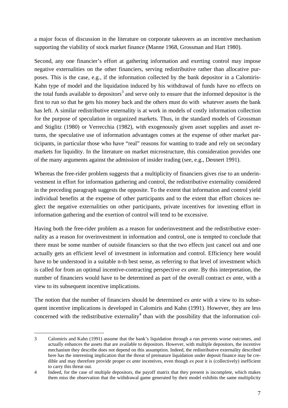a major focus of discussion in the literature on corporate takeovers as an incentive mechanism supporting the viability of stock market finance (Manne 1968, Grossman and Hart 1980).

Second, any one financier's effort at gathering information and exerting control may impose negative externalities on the other financiers, serving redistributive rather than allocative purposes. This is the case, e.g., if the information collected by the bank depositor in a Calomiris-Kahn type of model and the liquidation induced by his withdrawal of funds have no effects on the total funds available to depositors<sup>3</sup> and serve only to ensure that the informed depositor is the first to run so that he gets his money back and the others must do with whatever assets the bank has left. A similar redistributive externality is at work in models of costly information collection for the purpose of speculation in organized markets. Thus, in the standard models of Grossman and Stiglitz (1980) or Verrecchia (1982), with exogenously given asset supplies and asset returns, the speculative use of information advantages comes at the expense of other market participants, in particular those who have "real" reasons for wanting to trade and rely on secondary markets for liquidity. In the literature on market microstructure, this consideration provides one of the many arguments against the admission of insider trading (see, e.g., Dennert 1991).

Whereas the free-rider problem suggests that a multiplicity of financiers gives rise to an underinvestment in effort for information gathering and control, the redistributive externality considered in the preceding paragraph suggests the opposite. To the extent that information and control yield individual benefits at the expense of other participants and to the extent that effort choices neglect the negative externalities on other participants, private incentives for investing effort in information gathering and the exertion of control will tend to be excessive.

Having both the free-rider problem as a reason for underinvestment and the redistributive externality as a reason for overinvestment in information and control, one is tempted to conclude that there must be some number of outside financiers so that the two effects just cancel out and one actually gets an efficient level of investment in information and control. Efficiency here would have to be understood in a suitable n-th best sense, as referring to that level of investment which is called for from an optimal incentive-contracting perspective *ex ante*. By this interpretation, the number of financiers would have to be determined as part of the overall contract *ex ante*, with a view to its subsequent incentive implications.

The notion that the number of financiers should be determined *ex ante* with a view to its subsequent incentive implications is developed in Calomiris and Kahn (1991). However, they are less concerned with the redistributive externality<sup>4</sup> than with the possibility that the information col-

j

<sup>3</sup> Calomiris and Kahn (1991) assume that the bank's liquidation through a run prevents worse outcomes, and actually enhances the assets that are available to depositors. However, with multiple depositors, the incentive mechanism they describe does not depend on this assumption. Indeed, the redistributive externality described here has the interesting implication that the threat of premature liquidation under deposit finance may be credible and may therefore provide proper *ex ante* incentives, even though *ex post* it is (collectively) inefficient to carry this threat out.

<sup>4</sup> Indeed, for the case of multiple depositors, the payoff matrix that they present is incomplete, which makes them miss the observation that the withdrawal game generated by their model exhibits the same multiplicity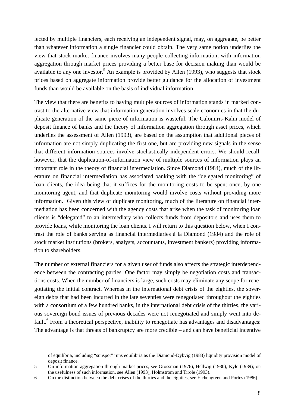lected by multiple financiers, each receiving an independent signal, may, on aggregate, be better than whatever information a single financier could obtain. The very same notion underlies the view that stock market finance involves many people collecting information, with information aggregation through market prices providing a better base for decision making than would be available to any one investor.<sup>5</sup> An example is provided by Allen (1993), who suggests that stock prices based on aggregate information provide better guidance for the allocation of investment funds than would be available on the basis of individual information.

The view that there are benefits to having multiple sources of information stands in marked contrast to the alternative view that information generation involves scale economies in that the duplicate generation of the same piece of information is wasteful. The Calomiris-Kahn model of deposit finance of banks and the theory of information aggregation through asset prices, which underlies the assessment of Allen (1993), are based on the assumption that additional pieces of information are not simply duplicating the first one, but are providing new signals in the sense that different information sources involve stochastically independent errors. We should recall, however, that the duplication-of-information view of multiple sources of information plays an important role in the theory of financial intermediation. Since Diamond (1984), much of the literature on financial intermediation has associated banking with the "delegated monitoring" of loan clients, the idea being that it suffices for the monitoring costs to be spent once, by one monitoring agent, and that duplicate monitoring would involve costs without providing more information. Given this view of duplicate monitoring, much of the literature on financial intermediation has been concerned with the agency costs that arise when the task of monitoring loan clients is "delegated" to an intermediary who collects funds from depositors and uses them to provide loans, while monitoring the loan clients. I will return to this question below, when I contrast the role of banks serving as financial intermediaries à la Diamond (1984) and the role of stock market institutions (brokers, analysts, accountants, investment bankers) providing information to shareholders.

The number of external financiers for a given user of funds also affects the strategic interdependence between the contracting parties. One factor may simply be negotiation costs and transactions costs. When the number of financiers is large, such costs may eliminate any scope for renegotiating the initial contract. Whereas in the international debt crisis of the eighties, the sovereign debts that had been incurred in the late seventies were renegotiated throughout the eighties with a consortium of a few hundred banks, in the international debt crisis of the thirties, the various sovereign bond issues of previous decades were not renegotiated and simply went into default.<sup>6</sup> From a theoretical perspective, inability to renegotiate has advantages and disadvantages: The advantage is that threats of bankruptcy are more credible – and can have beneficial incentive

 $\overline{a}$ 

of equilibria, including "sunspot" runs equilibria as the Diamond-Dybvig (1983) liquidity provision model of deposit finance.

<sup>5</sup> On information aggregation through market prices, see Grossman (1976), Hellwig (1980), Kyle (1989); on the usefulness of such information, see Allen (1993), Holmström and Tirole (1993).

<sup>6</sup> On the distinction between the debt crises of the thirties and the eighties, see Eichengreen and Portes (1986).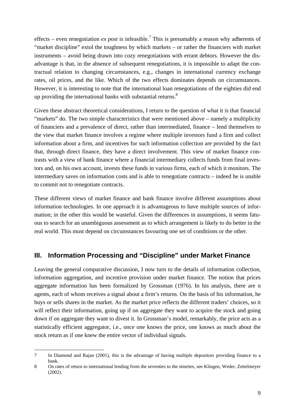effects – even renegotiation *ex post* is infeasible.<sup>7</sup> This is presumably a reason why adherents of "market discipline" extol the toughness by which markets – or rather the financiers with market instruments – avoid being drawn into cozy renegotiations with errant debtors. However the disadvantage is that, in the absence of subsequent renegotiations, it is impossible to adapt the contractual relation to changing circumstances, e.g., changes in international currency exchange rates, oil prices, and the like. Which of the two effects dominates depends on circumstances. However, it is interesting to note that the international loan renegotiations of the eighties did end up providing the international banks with substantial returns.<sup>8</sup>

Given these abstract theoretical considerations, I return to the question of what it is that financial "markets" do. The two simple characteristics that were mentioned above – namely a multiplicity of financiers and a prevalence of direct, rather than intermediated, finance – lend themselves to the view that market finance involves a regime where multiple investors fund a firm and collect information about a firm, and incentives for such information collection are provided by the fact that, through direct finance, they have a direct involvement. This view of market finance contrasts with a view of bank finance where a financial intermediary collects funds from final investors and, on his own account, invests these funds in various firms, each of which it monitors. The intermediary saves on information costs and is able to renegotiate contracts – indeed he is unable to commit not to renegotiate contracts.

These different views of market finance and bank finance involve different assumptions about information technologies. In one approach it is advantageous to have multiple sources of information; in the other this would be wasteful. Given the differences in assumptions, it seems fatuous to search for an unambiguous assessment as to which arrangement is likely to do better in the real world. This must depend on circumstances favouring one set of conditions or the other.

#### **III. Information Processing and "Discipline" under Market Finance**

Leaving the general comparative discussion, I now turn to the details of information collection, information aggregation, and incentive provision under market finance. The notion that prices aggregate information has been formalized by Grossman (1976). In his analysis, there are n agents, each of whom receives a signal about a firm's returns. On the basis of his information, he buys or sells shares in the market. As the market price reflects the different traders' choices, so it will reflect their information, going up if on aggregate they want to acquire the stock and going down if on aggregate they want to divest it. In Grossman's model, remarkably, the price acts as a statistically efficient aggregator, i.e., once one knows the price, one knows as much about the stock return as if one knew the entire vector of individual signals.

 $\overline{a}$ 

<sup>7</sup> In Diamond and Rajan (2001), this is the advantage of having multiple depositors providing finance to a bank.

<sup>8</sup> On rates of return to international lending from the seventies to the nineties, see Klingen, Weder, Zettelmeyer (2002).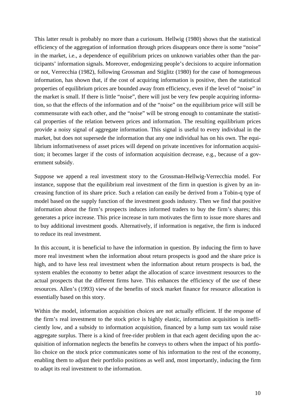This latter result is probably no more than a curiosum. Hellwig (1980) shows that the statistical efficiency of the aggregation of information through prices disappears once there is some "noise" in the market, i.e., a dependence of equilibrium prices on unknown variables other than the participants' information signals. Moreover, endogenizing people's decisions to acquire information or not, Verrecchia (1982), following Grossman and Stiglitz (1980) for the case of homogeneous information, has shown that, if the cost of acquiring information is positive, then the statistical properties of equilibrium prices are bounded away from efficiency, even if the level of "noise" in the market is small. If there is little "noise", there will just be very few people acquiring information, so that the effects of the information and of the "noise" on the equilibrium price will still be commensurate with each other, and the "noise" will be strong enough to contaminate the statistical properties of the relation between prices and information. The resulting equilibrium prices provide a noisy signal of aggregate information. This signal is useful to every individual in the market, but does not supersede the information that any one individual has on his own. The equilibrium informativeness of asset prices will depend on private incentives for information acquisition; it becomes larger if the costs of information acquisition decrease, e.g., because of a government subsidy.

Suppose we append a real investment story to the Grossman-Hellwig-Verrecchia model. For instance, suppose that the equilibrium real investment of the firm in question is given by an increasing function of its share price. Such a relation can easily be derived from a Tobin-q type of model based on the supply function of the investment goods industry. Then we find that positive information about the firm's prospects induces informed traders to buy the firm's shares; this generates a price increase. This price increase in turn motivates the firm to issue more shares and to buy additional investment goods. Alternatively, if information is negative, the firm is induced to reduce its real investment.

In this account, it is beneficial to have the information in question. By inducing the firm to have more real investment when the information about return prospects is good and the share price is high, and to have less real investment when the information about return prospects is bad, the system enables the economy to better adapt the allocation of scarce investment resources to the actual prospects that the different firms have. This enhances the efficiency of the use of these resources. Allen's (1993) view of the benefits of stock market finance for resource allocation is essentially based on this story.

Within the model, information acquisition choices are not actually efficient. If the response of the firm's real investment to the stock price is highly elastic, information acquisition is inefficiently low, and a subsidy to information acquisition, financed by a lump sum tax would raise aggregate surplus. There is a kind of free-rider problem in that each agent deciding upon the acquisition of information neglects the benefits he conveys to others when the impact of his portfolio choice on the stock price communicates some of his information to the rest of the economy, enabling them to adjust their portfolio positions as well and, most importantly, inducing the firm to adapt its real investment to the information.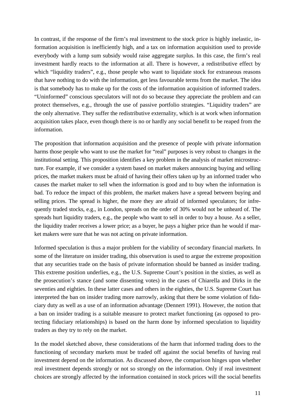In contrast, if the response of the firm's real investment to the stock price is highly inelastic, information acquisition is inefficiently high, and a tax on information acquisition used to provide everybody with a lump sum subsidy would raise aggregate surplus. In this case, the firm's real investment hardly reacts to the information at all. There is however, a redistributive effect by which "liquidity traders", e.g., those people who want to liquidate stock for extraneous reasons that have nothing to do with the information, get less favourable terms from the market. The idea is that somebody has to make up for the costs of the information acquisition of informed traders. "Uninformed" conscious speculators will not do so because they appreciate the problem and can protect themselves, e.g., through the use of passive portfolio strategies. "Liquidity traders" are the only alternative. They suffer the redistributive externality, which is at work when information acquisition takes place, even though there is no or hardly any social benefit to be reaped from the information.

The proposition that information acquisition and the presence of people with private information harms those people who want to use the market for "real" purposes is very robust to changes in the institutional setting. This proposition identifies a key problem in the analysis of market microstructure. For example, if we consider a system based on market makers announcing buying and selling prices, the market makers must be afraid of having their offers taken up by an informed trader who causes the market maker to sell when the information is good and to buy when the information is bad. To reduce the impact of this problem, the market makers have a spread between buying and selling prices. The spread is higher, the more they are afraid of informed speculators; for infrequently traded stocks, e.g., in London, spreads on the order of 30% would not be unheard of. The spreads hurt liquidity traders, e.g., the people who want to sell in order to buy a house. As a seller, the liquidity trader receives a lower price; as a buyer, he pays a higher price than he would if market makers were sure that he was not acting on private information.

Informed speculation is thus a major problem for the viability of secondary financial markets. In some of the literature on insider trading, this observation is used to argue the extreme proposition that any securities trade on the basis of private information should be banned as insider trading. This extreme position underlies, e.g., the U.S. Supreme Court's position in the sixties, as well as the prosecution's stance (and some dissenting votes) in the cases of Chiarella and Dirks in the seventies and eighties. In these latter cases and others in the eighties, the U.S. Supreme Court has interpreted the ban on insider trading more narrowly, asking that there be some violation of fiduciary duty as well as a use of an information advantage (Dennert 1991). However, the notion that a ban on insider trading is a suitable measure to protect market functioning (as opposed to protecting fiduciary relationships) is based on the harm done by informed speculation to liquidity traders as they try to rely on the market.

In the model sketched above, these considerations of the harm that informed trading does to the functioning of secondary markets must be traded off against the social benefits of having real investment depend on the information. As discussed above, the comparison hinges upon whether real investment depends strongly or not so strongly on the information. Only if real investment choices are strongly affected by the information contained in stock prices will the social benefits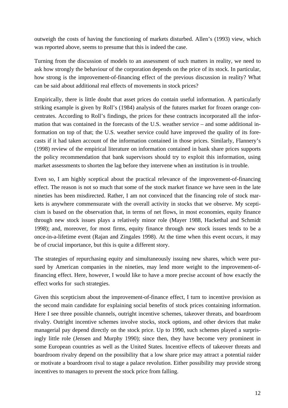outweigh the costs of having the functioning of markets disturbed. Allen's (1993) view, which was reported above, seems to presume that this is indeed the case.

Turning from the discussion of models to an assessment of such matters in reality, we need to ask how strongly the behaviour of the corporation depends on the price of its stock. In particular, how strong is the improvement-of-financing effect of the previous discussion in reality? What can be said about additional real effects of movements in stock prices?

Empirically, there is little doubt that asset prices do contain useful information. A particularly striking example is given by Roll's (1984) analysis of the futures market for frozen orange concentrates. According to Roll's findings, the prices for these contracts incorporated all the information that was contained in the forecasts of the U.S. weather service – and some additional information on top of that; the U.S. weather service could have improved the quality of its forecasts if it had taken account of the information contained in those prices. Similarly, Flannery's (1998) review of the empirical literature on information contained in bank share prices supports the policy recommendation that bank supervisors should try to exploit this information, using market assessments to shorten the lag before they intervene when an institution is in trouble.

Even so, I am highly sceptical about the practical relevance of the improvement-of-financing effect. The reason is not so much that some of the stock market finance we have seen in the late nineties has been misdirected. Rather, I am not convinced that the financing role of stock markets is anywhere commensurate with the overall activity in stocks that we observe. My scepticism is based on the observation that, in terms of net flows, in most economies, equity finance through new stock issues plays a relatively minor role (Mayer 1988, Hackethal and Schmidt 1998); and, moreover, for most firms, equity finance through new stock issues tends to be a once-in-a-lifetime event (Rajan and Zingales 1998). At the time when this event occurs, it may be of crucial importance, but this is quite a different story.

The strategies of repurchasing equity and simultaneously issuing new shares, which were pursued by American companies in the nineties, may lend more weight to the improvement-offinancing effect. Here, however, I would like to have a more precise account of how exactly the effect works for such strategies.

Given this scepticism about the improvement-of-finance effect, I turn to incentive provision as the second main candidate for explaining social benefits of stock prices containing information. Here I see three possible channels, outright incentive schemes, takeover threats, and boardroom rivalry. Outright incentive schemes involve stocks, stock options, and other devices that make managerial pay depend directly on the stock price. Up to 1990, such schemes played a surprisingly little role (Jensen and Murphy 1990); since then, they have become very prominent in some European countries as well as the United States. Incentive effects of takeover threats and boardroom rivalry depend on the possibility that a low share price may attract a potential raider or motivate a boardroom rival to stage a palace revolution. Either possibility may provide strong incentives to managers to prevent the stock price from falling.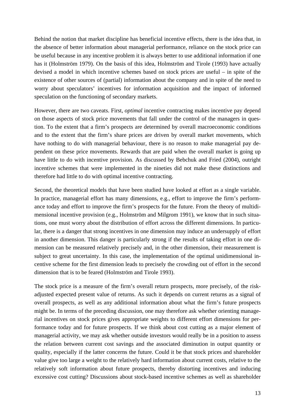Behind the notion that market discipline has beneficial incentive effects, there is the idea that, in the absence of better information about managerial performance, reliance on the stock price can be useful because in any incentive problem it is always better to use additional information if one has it (Holmström 1979). On the basis of this idea, Holmström and Tirole (1993) have actually devised a model in which incentive schemes based on stock prices are useful – in spite of the existence of other sources of (partial) information about the company and in spite of the need to worry about speculators' incentives for information acquisition and the impact of informed speculation on the functioning of secondary markets.

However, there are two caveats. First, *optimal* incentive contracting makes incentive pay depend on those aspects of stock price movements that fall under the control of the managers in question. To the extent that a firm's prospects are determined by overall macroeconomic conditions and to the extent that the firm's share prices are driven by overall market movements, which have nothing to do with managerial behaviour, there is no reason to make managerial pay dependent on these price movements. Rewards that are paid when the overall market is going up have little to do with incentive provision. As discussed by Bebchuk and Fried (2004), outright incentive schemes that were implemented in the nineties did not make these distinctions and therefore had little to do with optimal incentive contracting.

Second, the theoretical models that have been studied have looked at effort as a single variable. In practice, managerial effort has many dimensions, e.g., effort to improve the firm's performance today and effort to improve the firm's prospects for the future. From the theory of multidimensional incentive provision (e.g., Holmström and Milgrom 1991), we know that in such situations, one must worry about the distribution of effort across the different dimensions. In particular, there is a danger that strong incentives in one dimension may induce an undersupply of effort in another dimension. This danger is particularly strong if the results of taking effort in one dimension can be measured relatively precisely and, in the other dimension, their measurement is subject to great uncertainty. In this case, the implementation of the optimal unidimensional incentive scheme for the first dimension leads to precisely the crowding out of effort in the second dimension that is to be feared (Holmström and Tirole 1993).

The stock price is a measure of the firm's overall return prospects, more precisely, of the riskadjusted expected present value of returns. As such it depends on current returns as a signal of overall prospects, as well as any additional information about what the firm's future prospects might be. In terms of the preceding discussion, one may therefore ask whether orienting managerial incentives on stock prices gives appropriate weights to different effort dimensions for performance today and for future prospects. If we think about cost cutting as a major element of managerial activity, we may ask whether outside investors would really be in a position to assess the relation between current cost savings and the associated diminution in output quantity or quality, especially if the latter concerns the future. Could it be that stock prices and shareholder value give too large a weight to the relatively hard information about current costs, relative to the relatively soft information about future prospects, thereby distorting incentives and inducing excessive cost cutting? Discussions about stock-based incentive schemes as well as shareholder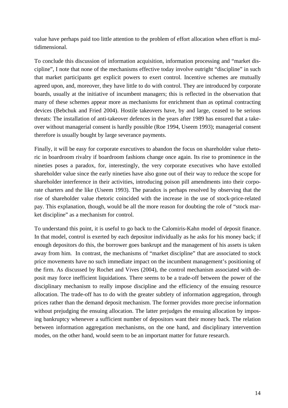value have perhaps paid too little attention to the problem of effort allocation when effort is multidimensional.

To conclude this discussion of information acquisition, information processing and "market discipline", I note that none of the mechanisms effective today involve outright "discipline" in such that market participants get explicit powers to exert control. Incentive schemes are mutually agreed upon, and, moreover, they have little to do with control. They are introduced by corporate boards, usually at the initiative of incumbent managers; this is reflected in the observation that many of these schemes appear more as mechanisms for enrichment than as optimal contracting devices (Bebchuk and Fried 2004). Hostile takeovers have, by and large, ceased to be serious threats: The installation of anti-takeover defences in the years after 1989 has ensured that a takeover without managerial consent is hardly possible (Roe 1994, Useem 1993); managerial consent therefore is usually bought by large severance payments.

Finally, it will be easy for corporate executives to abandon the focus on shareholder value rhetoric in boardroom rivalry if boardroom fashions change once again. Its rise to prominence in the nineties poses a paradox, for, interestingly, the very corporate executives who have extolled shareholder value since the early nineties have also gone out of their way to reduce the scope for shareholder interference in their activities, introducing poison pill amendments into their corporate charters and the like (Useem 1993). The paradox is perhaps resolved by observing that the rise of shareholder value rhetoric coincided with the increase in the use of stock-price-related pay. This explanation, though, would be all the more reason for doubting the role of "stock market discipline" as a mechanism for control.

To understand this point, it is useful to go back to the Calomiris-Kahn model of deposit finance. In that model, control is exerted by each depositor individually as he asks for his money back; if enough depositors do this, the borrower goes bankrupt and the management of his assets is taken away from him. In contrast, the mechanisms of "market discipline" that are associated to stock price movements have no such immediate impact on the incumbent management's positioning of the firm. As discussed by Rochet and Vives (2004), the control mechanism associated with deposit may force inefficient liquidations. There seems to be a trade-off between the power of the disciplinary mechanism to really impose discipline and the efficiency of the ensuing resource allocation. The trade-off has to do with the greater subtlety of information aggregation, through prices rather than the demand deposit mechanism. The former provides more precise information without prejudging the ensuing allocation. The latter prejudges the ensuing allocation by imposing bankruptcy whenever a sufficient number of depositors want their money back. The relation between information aggregation mechanisms, on the one hand, and disciplinary intervention modes, on the other hand, would seem to be an important matter for future research.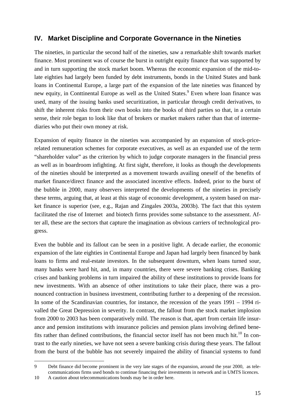## **IV. Market Discipline and Corporate Governance in the Nineties**

The nineties, in particular the second half of the nineties, saw a remarkable shift towards market finance. Most prominent was of course the burst in outright equity finance that was supported by and in turn supporting the stock market boom. Whereas the economic expansion of the mid-tolate eighties had largely been funded by debt instruments, bonds in the United States and bank loans in Continental Europe, a large part of the expansion of the late nineties was financed by new equity, in Conttinental Europe as well as the United States.<sup>9</sup> Even where loan finance was used, many of the issuing banks used securitization, in particular through credit derivatives, to shift the inherent risks from their own books into the books of third parties so that, in a certain sense, their role began to look like that of brokers or market makers rather than that of intermediaries who put their own money at risk.

Expansion of equity finance in the nineties was accompanied by an expansion of stock-pricerelated remuneration schemes for corporate executives, as well as an expanded use of the term "shareholder value" as the criterion by which to judge corporate managers in the financial press as well as in boardroom infighting. At first sight, therefore, it looks as though the developments of the nineties should be interpreted as a movement towards availing oneself of the benefits of market finance/direct finance and the associated incentive effects. Indeed, prior to the burst of the bubble in 2000, many observers interpreted the developments of the nineties in precisely these terms, arguing that, at least at this stage of economic development, a system based on market finance is superior (see, e.g., Rajan and Zingales 2003a, 2003b). The fact that this system facilitated the rise of Internet and biotech firms provides some substance to the assessment. After all, these are the sectors that capture the imagination as obvious carriers of technological progress.

Even the bubble and its fallout can be seen in a positive light. A decade earlier, the economic expansion of the late eighties in Continental Europe and Japan had largely been financed by bank loans to firms and real-estate investors. In the subsequent downturn, when loans turned sour, many banks were hard hit, and, in many countries, there were severe banking crises. Banking crises and banking problems in turn impaired the ability of these institutions to provide loans for new investments. With an absence of other institutions to take their place, there was a pronounced contraction in business investment, contributing further to a deepening of the recession. In some of the Scandinavian countries, for instance, the recession of the years 1991 – 1994 rivalled the Great Depression in severity. In contrast, the fallout from the stock market implosion from 2000 to 2003 has been comparatively mild. The reason is that, apart from certain life insurance and pension institutions with insurance policies and pension plans involving defined benefits rather than defined contributions, the financial sector itself has not been much hit.<sup>10</sup> In contrast to the early nineties, we have not seen a severe banking crisis during these years. The fallout from the burst of the bubble has not severely impaired the ability of financial systems to fund

-

<sup>9</sup> Debt finance did become prominent in the very late stages of the expansion, around the year 2000, as telecommunications firms used bonds to continue financing their investments in network and in UMTS licences.

<sup>10</sup> A caution about telecommunications bonds may be in order here.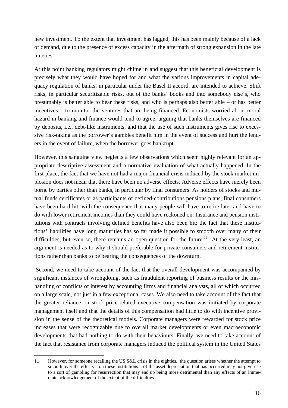new investment. To the extent that investment has lagged, this has been mainly because of a lack of demand, due to the presence of excess capacity in the aftermath of strong expansion in the late nineties.

At this point banking regulators might chime in and suggest that this beneficial development is precisely what they would have hoped for and what the various improvements in capital adequacy regulation of banks, in particular under the Basel II accord, are intended to achieve. Shift risks, in particular securitizable risks, out of the banks' books and into somebody else's, who presumably is better able to bear these risks, and who is perhaps also better able – or has better incentives – to monitor the ventures that are being financed. Economists worried about moral hazard in banking and finance would tend to agree, arguing that banks themselves are financed by deposits, i.e., debt-like instruments, and that the use of such instruments gives rise to excessive risk-taking as the borrower's gambles benefit him in the event of success and hurt the lenders in the event of failure, when the borrower goes bankrupt.

However, this sanguine view neglects a few observations which seem highly relevant for an appropriate descriptive assessment and a normative evaluation of what actually happened. In the first place, the fact that we have not had a major financial crisis induced by the stock market implosion does not mean that there have been no adverse effects. Adverse effects have merely been borne by parties other than banks, in particular by final consumers. As holders of stocks and mutual funds certificates or as participants of defined-contributions pensions plans, final consumers have been hard hit, with the consequence that many people will have to retire later and have to do with lower retirement incomes than they could have reckoned on. Insurance and pension institutions with contracts involving defined benefits have also been hit; the fact that these institutions' liabilities have long maturities has so far made it possible to smooth over many of their difficulties, but even so, there remains an open question for the future.<sup>11</sup> At the very least, an argument is needed as to why it should preferable for private consumers and retirement institutions rather than banks to be bearing the consequences of the downturn.

 Second, we need to take account of the fact that the overall development was accompanied by significant instances of wrongdoing, such as fraudulent reporting of business results or the mishandling of conflicts of interest by accounting firms and financial analysts, all of which occurred on a large scale, not just in a few exceptional cases. We also need to take account of the fact that the greater reliance on stock-price-related executive compensation was initiated by corporate management itself and that the details of this compensation had little to do with incentive provision in the sense of the theoretical models. Corporate managers were rewarded for stock price increases that were recognizably due to overall market developments or even macroeconomic developments that had nothing to do with their behaviours. Finally, we need to take account of the fact that resistance from corporate managers induced the political system in the United States

j

<sup>11</sup> However, for someone recalling the US S&L crisis in the eighties, the question arises whether the attempt to smooth over the effects – on these institutions – of the asset depreciation that has occurred may not give rise to a sort of gambling for resurrection that may end up being more detrimental than any effects of an immediate acknowledgement of the extent of the difficulties.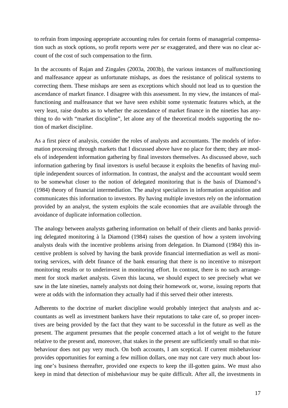to refrain from imposing appropriate accounting rules for certain forms of managerial compensation such as stock options, so profit reports were *per se* exaggerated, and there was no clear account of the cost of such compensation to the firm.

In the accounts of Rajan and Zingales (2003a, 2003b), the various instances of malfunctioning and malfeasance appear as unfortunate mishaps, as does the resistance of political systems to correcting them. These mishaps are seen as exceptions which should not lead us to question the ascendance of market finance. I disagree with this assessment. In my view, the instances of malfunctioning and malfeasance that we have seen exhibit some systematic features which, at the very least, raise doubts as to whether the ascendance of market finance in the nineties has anything to do with "market discipline", let alone any of the theoretical models supporting the notion of market discipline.

As a first piece of analysis, consider the roles of analysts and accountants. The models of information processing through markets that I discussed above have no place for them; they are models of independent information gathering by final investors themselves. As discussed above, such information gathering by final investors is useful because it exploits the benefits of having multiple independent sources of information. In contrast, the analyst and the accountant would seem to be somewhat closer to the notion of delegated monitoring that is the basis of Diamond's (1984) theory of financial intermediation. The analyst specializes in information acquisition and communicates this information to investors. By having multiple investors rely on the information provided by an analyst, the system exploits the scale economies that are available through the avoidance of duplicate information collection.

The analogy between analysts gathering information on behalf of their clients and banks providing delegated monitoring à la Diamond (1984) raises the question of how a system involving analysts deals with the incentive problems arising from delegation. In Diamond (1984) this incentive problem is solved by having the bank provide financial intermediation as well as monitoring services, with debt finance of the bank ensuring that there is no incentive to misreport monitoring results or to underinvest in monitoring effort. In contrast, there is no such arrangement for stock market analysts. Given this lacuna, we should expect to see precisely what we saw in the late nineties, namely analysts not doing their homework or, worse, issuing reports that were at odds with the information they actually had if this served their other interests.

Adherents to the doctrine of market discipline would probably interject that analysts and accountants as well as investment bankers have their reputations to take care of, so proper incentives are being provided by the fact that they want to be successful in the future as well as the present. The argument presumes that the people concerned attach a lot of weight to the future relative to the present and, moreover, that stakes in the present are sufficiently small so that misbehaviour does not pay very much. On both accounts, I am sceptical. If current misbehaviour provides opportunities for earning a few million dollars, one may not care very much about losing one's business thereafter, provided one expects to keep the ill-gotten gains. We must also keep in mind that detection of misbehaviour may be quite difficult. After all, the investments in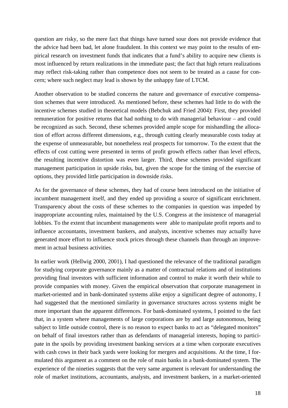question are risky, so the mere fact that things have turned sour does not provide evidence that the advice had been bad, let alone fraudulent. In this context we may point to the results of empirical research on investment funds that indicates that a fund's ability to acquire new clients is most influenced by return realizations in the immediate past; the fact that high return realizations may reflect risk-taking rather than competence does not seem to be treated as a cause for concern; where such neglect may lead is shown by the unhappy fate of LTCM.

Another observation to be studied concerns the nature and governance of executive compensation schemes that were introduced. As mentioned before, these schemes had little to do with the incentive schemes studied in theoretical models (Bebchuk and Fried 2004): First, they provided remuneration for positive returns that had nothing to do with managerial behaviour – and could be recognized as such. Second, these schemes provided ample scope for mishandling the allocation of effort across different dimensions, e.g., through cutting clearly measurable costs today at the expense of unmeasurable, but nonetheless real prospects for tomorrow. To the extent that the effects of cost cutting were presented in terms of profit growth effects rather than level effects, the resulting incentive distortion was even larger. Third, these schemes provided significant management participation in upside risks, but, given the scope for the timing of the exercise of options, they provided little participation in downside risks.

As for the governance of these schemes, they had of course been introduced on the initiative of incumbent management itself, and they ended up providing a source of significant enrichment. Transparency about the costs of these schemes to the companies in question was impeded by inappropriate accounting rules, maintained by the U.S. Congress at the insistence of managerial lobbies. To the extent that incumbent managements were able to manipulate profit reports and to influence accountants, investment bankers, and analysts, incentive schemes may actually have generated more effort to influence stock prices through these channels than through an improvement in actual business activities.

In earlier work (Hellwig 2000, 2001), I had questioned the relevance of the traditional paradigm for studying corporate governance mainly as a matter of contractual relations and of institutions providing final investors with sufficient information and control to make it worth their while to provide companies with money. Given the empirical observation that corporate management in market-oriented and in bank-dominated systems alike enjoy a significant degree of autonomy, I had suggested that the mentioned similarity in governance structures across systems might be more important than the apparent differences. For bank-dominated systems, I pointed to the fact that, in a system where managements of large corporations are by and large autonomous, being subject to little outside control, there is no reason to expect banks to act as "delegated monitors" on behalf of final investors rather than as defendants of managerial interests, hoping to participate in the spoils by providing investment banking services at a time when corporate executives with cash cows in their back yards were looking for mergers and acquisitions. At the time, I formulated this argument as a comment on the role of main banks in a bank-dominated system. The experience of the nineties suggests that the very same argument is relevant for understanding the role of market institutions, accountants, analysts, and investment bankers, in a market-oriented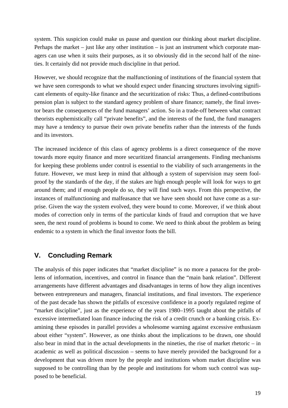system. This suspicion could make us pause and question our thinking about market discipline. Perhaps the market – just like any other institution – is just an instrument which corporate managers can use when it suits their purposes, as it so obviously did in the second half of the nineties. It certainly did not provide much discipline in that period.

However, we should recognize that the malfunctioning of institutions of the financial system that we have seen corresponds to what we should expect under financing structures involving significant elements of equity-like finance and the securitization of risks: Thus, a defined-contributions pension plan is subject to the standard agency problem of share finance; namely, the final investor bears the consequences of the fund managers' action. So in a trade-off between what contract theorists euphemistically call "private benefits", and the interests of the fund, the fund managers may have a tendency to pursue their own private benefits rather than the interests of the funds and its investors.

The increased incidence of this class of agency problems is a direct consequence of the move towards more equity finance and more securitized financial arrangements. Finding mechanisms for keeping these problems under control is essential to the viability of such arrangements in the future. However, we must keep in mind that although a system of supervision may seem foolproof by the standards of the day, if the stakes are high enough people will look for ways to get around them; and if enough people do so, they will find such ways. From this perspective, the instances of malfunctioning and malfeasance that we have seen should not have come as a surprise. Given the way the system evolved, they were bound to come. Moreover, if we think about modes of correction only in terms of the particular kinds of fraud and corruption that we have seen, the next round of problems is bound to come. We need to think about the problem as being endemic to a system in which the final investor foots the bill.

## **V. Concluding Remark**

The analysis of this paper indicates that "market discipline" is no more a panacea for the problems of information, incentives, and control in finance than the "main bank relation". Different arrangements have different advantages and disadvantages in terms of how they align incentives between entrepreneurs and managers, financial institutions, and final investors. The experience of the past decade has shown the pitfalls of excessive confidence in a poorly regulated regime of "market discipline", just as the experience of the years 1980–1995 taught about the pitfalls of excessive intermediated loan finance inducing the risk of a credit crunch or a banking crisis. Examining these episodes in parallel provides a wholesome warning against excessive enthusiasm about either "system". However, as one thinks about the implications to be drawn, one should also bear in mind that in the actual developments in the nineties, the rise of market rhetoric – in academic as well as political discussion – seems to have merely provided the background for a development that was driven more by the people and institutions whom market discipline was supposed to be controlling than by the people and institutions for whom such control was supposed to be beneficial.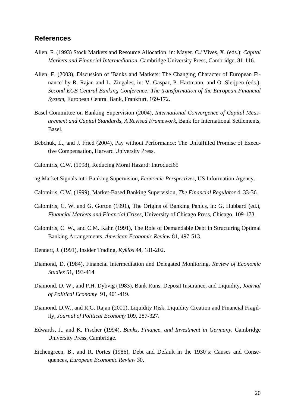#### **References**

- Allen, F. (1993) Stock Markets and Resource Allocation, in: Mayer, C./ Vives, X. (eds.): *Capital Markets and Financial Intermediation*, Cambridge University Press, Cambridge, 81-116.
- Allen, F. (2003), Discussion of 'Banks and Markets: The Changing Character of European Finance' by R. Rajan and L. Zingales, in: V. Gaspar, P. Hartmann, and O. Sleijpen (eds.), *Second ECB Central Banking Conference: The transformation of the European Financial System*, European Central Bank, Frankfurt, 169-172.
- Basel Committee on Banking Supervision (2004), *International Convergence of Capital Measurement and Capital Standards, A Revised Framework*, Bank for International Settlements, Basel.
- Bebchuk, L., and J. Fried (2004), Pay without Performance: The Unfulfilled Promise of Executive Compensation, Harvard University Press.
- Calomiris, C.W. (1998), Reducing Moral Hazard: Introduci65
- ng Market Signals into Banking Supervision, *Economic Perspectives*, US Information Agency.
- Calomiris, C.W. (1999), Market-Based Banking Supervision, *The Financial Regulator* 4, 33-36.
- Calomiris, C. W. and G. Gorton (1991), The Origins of Banking Panics, in: G. Hubbard (ed.), *Financial Markets and Financial Crises*, University of Chicago Press, Chicago, 109-173.
- Calomiris, C. W., and C.M. Kahn (1991), The Role of Demandable Debt in Structuring Optimal Banking Arrangements, *American Economic Review* 81, 497-513.
- Dennert, J. (1991), Insider Trading, *Kyklos* 44, 181-202.
- Diamond, D. (1984), Financial Intermediation and Delegated Monitoring, *Review of Economic Studies* 51, 193-414.
- Diamond, D. W., and P.H. Dybvig (1983), Bank Runs, Deposit Insurance, and Liquidity, *Journal of Political Economy* 91, 401-419.
- Diamond, D.W., and R.G. Rajan (2001), Liquidity Risk, Liquidity Creation and Financial Fragility, *Journal of Political Economy* 109, 287-327.
- Edwards, J., and K. Fischer (1994), *Banks, Finance, and Investment in Germany*, Cambridge University Press, Cambridge.
- Eichengreen, B., and R. Portes (1986), Debt and Default in the 1930's: Causes and Consequences, *European Economic Review* 30.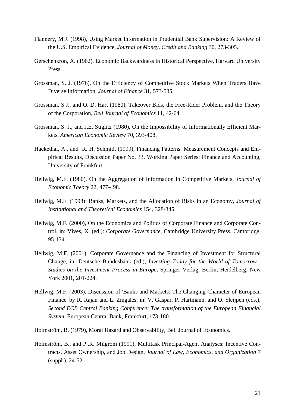- Flannery, M.J. (1998), Using Market Information in Prudential Bank Supervision: A Review of the U.S. Empirical Evidence, *Journal of Money, Credit and Banking* 30, 273-305.
- Gerschenkron, A. (1962), Economic Backwardness in Historical Perspective, Harvard University Press.
- Grossman, S. J. (1976), On the Efficiency of Competitive Stock Markets When Traders Have Diverse Information, *Journal of Finance* 31, 573-585.
- Grossman, S.J., and O. D. Hart (1980), Takeover Bids, the Free-Rider Problem, and the Theory of the Corporation, *Bell Journal of Economics* 11, 42-64.
- Grossman, S. J., and J.E. Stiglitz (1980), On the Impossibility of Informationally Efficient Markets, *American Economic Review* 70, 393-408.
- Hackethal, A., and R. H. Schmidt (1999), Financing Patterns: Measurement Concepts and Empirical Results, Discussion Paper No. 33, Working Paper Series: Finance and Accounting, University of Frankfurt.
- Hellwig, M.F. (1980), On the Aggregation of Information in Competitive Markets, *Journal of Economic Theory* 22, 477-498.
- Hellwig, M.F. (1998): Banks, Markets, and the Allocation of Risks in an Economy, *Journal of Institutional and Theoretical Economics* 154, 328-345.
- Hellwig, M.F. (2000), On the Economics and Politics of Corporate Finance and Corporate Control, in: Vives, X. (ed.): *Corporate Governance*, Cambridge University Press, Cambridge, 95-134.
- Hellwig, M.F. (2001), Corporate Governance and the Financing of Investment for Structural Change, in: Deutsche Bundesbank (ed.), *Investing Today for the World of Tomorrow · Studies on the Investment Process in Europe*, Springer Verlag, Berlin, Heidelberg, New York 2001, 201-224.
- Hellwig, M.F. (2003), Discussion of 'Banks and Markets: The Changing Character of European Finance' by R. Rajan and L. Zingales, in: V. Gaspar, P. Hartmann, and O. Sleijpen (eds.), *Second ECB Central Banking Conference: The transformation of the European Financial System*, European Central Bank, Frankfurt, 173-180.
- Holmström, B. (1979), Moral Hazard and Observability, Bell Journal of Economics.
- Holmström, B., and P..R. Milgrom (1991), Multitask Principal-Agent Analyses: Incentive Contracts, Asset Ownership, and Job Design, *Journal of Law, Economics, and Organization* 7 (suppl.), 24-52.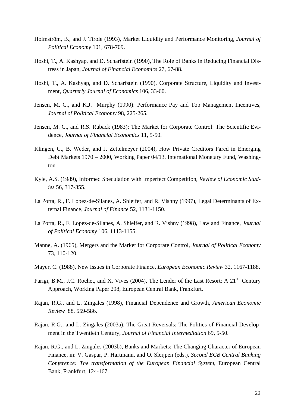- Holmström, B., and J. Tirole (1993), Market Liquidity and Performance Monitoring, *Journal of Political Economy* 101, 678-709.
- Hoshi, T., A. Kashyap, and D. Scharfstein (1990), The Role of Banks in Reducing Financial Distress in Japan, *Journal of Financial Economics* 27, 67-88.
- Hoshi, T., A. Kashyap, and D. Scharfstein (1990), Corporate Structure, Liquidity and Investment, *Quarterly Journal of Economics* 106, 33-60.
- Jensen, M. C., and K.J. Murphy (1990): Performance Pay and Top Management Incentives, *Journal of Political Economy* 98, 225-265.
- Jensen, M. C., and R.S. Ruback (1983): The Market for Corporate Control: The Scientific Evidence, *Journal of Financial Economics* 11, 5-50.
- Klingen, C., B. Weder, and J. Zettelmeyer (2004), How Private Creditors Fared in Emerging Debt Markets 1970 – 2000, Working Paper 04/13, International Monetary Fund, Washington.
- Kyle, A.S. (1989), Informed Speculation with Imperfect Competition, *Review of Economic Studies* 56, 317-355.
- La Porta, R., F. Lopez-de-Silanes, A. Shleifer, and R. Vishny (1997), Legal Determinants of External Finance, *Journal of Finance* 52, 1131-1150.
- La Porta, R., F. Lopez-de-Silanes, A. Shleifer, and R. Vishny (1998), Law and Finance, *Journal of Political Economy* 106, 1113-1155.
- Manne, A. (1965), Mergers and the Market for Corporate Control, *Journal of Political Economy* 73, 110-120.
- Mayer, C. (1988), New Issues in Corporate Finance, *European Economic Review* 32, 1167-1188.
- Parigi, B.M., J.C. Rochet, and X. Vives (2004), The Lender of the Last Resort: A  $21<sup>st</sup>$  Century Approach, Working Paper 298, European Central Bank, Frankfurt.
- Rajan, R.G., and L. Zingales (1998), Financial Dependence and Growth, *American Economic Review* 88, 559-586.
- Rajan, R.G., and L. Zingales (2003a), The Great Reversals: The Politics of Financial Development in the Twentieth Century, *Journal of Financial Intermediation* 69, 5-50.
- Rajan, R.G., and L. Zingales (2003b), Banks and Markets: The Changing Character of European Finance, in: V. Gaspar, P. Hartmann, and O. Sleijpen (eds.), *Second ECB Central Banking Conference: The transformation of the European Financial System*, European Central Bank, Frankfurt, 124-167.